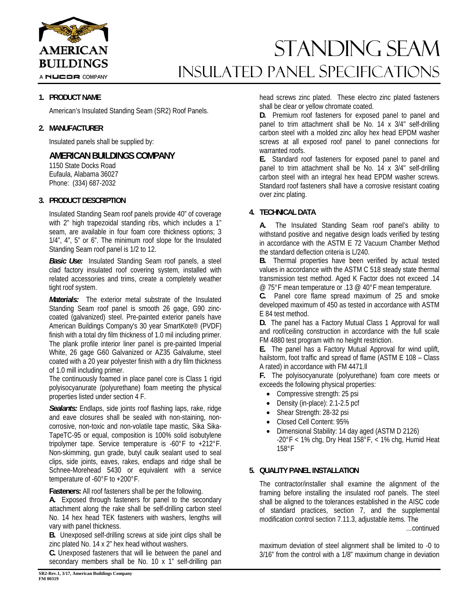

A NUCOR COMPANY

# STANDING SEAM INSULATED Panel Specifications

## **1. PRODUCT NAME**

American's Insulated Standing Seam (SR2) Roof Panels.

## **2. MANUFACTURER**

Insulated panels shall be supplied by:

## **AMERICAN BUILDINGS COMPANY**

1150 State Docks Road Eufaula, Alabama 36027 Phone: (334) 687-2032

## **3. PRODUCT DESCRIPTION**

Insulated Standing Seam roof panels provide 40" of coverage with 2" high trapezoidal standing ribs, which includes a 1" seam, are available in four foam core thickness options; 3 1/4", 4", 5" or 6". The minimum roof slope for the Insulated Standing Seam roof panel is 1/2 to 12.

*Basic Use:* Insulated Standing Seam roof panels, a steel clad factory insulated roof covering system, installed with related accessories and trims, create a completely weather tight roof system.

*Materials:* The exterior metal substrate of the Insulated Standing Seam roof panel is smooth 26 gage, G90 zinccoated (galvanized) steel. Pre-painted exterior panels have American Buildings Company's 30 year SmartKote® (PVDF) finish with a total dry film thickness of 1.0 mil including primer. The plank profile interior liner panel is pre-painted Imperial White, 26 gage G60 Galvanized or AZ35 Galvalume, steel coated with a 20 year polyester finish with a dry film thickness of 1.0 mill including primer.

The continuously foamed in place panel core is Class 1 rigid polyisocyanurate (polyurethane) foam meeting the physical properties listed under section 4 F.

*Sealants:* Endlaps, side joints roof flashing laps, rake, ridge and eave closures shall be sealed with non-staining, noncorrosive, non-toxic and non-volatile tape mastic, Sika Sika-TapeTC-95 or equal, composition is 100% solid isobutylene tripolymer tape. Service temperature is -60°F to +212°F. Non-skimming, gun grade, butyl caulk sealant used to seal clips, side joints, eaves, rakes, endlaps and ridge shall be Schnee-Morehead 5430 or equivalent with a service temperature of -60°F to +200°F.

**Fasteners:** All roof fasteners shall be per the following.

**A.** Exposed through fasteners for panel to the secondary attachment along the rake shall be self-drilling carbon steel No. 14 hex head TEK fasteners with washers, lengths will vary with panel thickness.

**B.** Unexposed self-drilling screws at side joint clips shall be zinc plated No. 14 x 2" hex head without washers.

**C.** Unexposed fasteners that will lie between the panel and secondary members shall be No. 10 x 1" self-drilling pan

head screws zinc plated. These electro zinc plated fasteners shall be clear or yellow chromate coated.

**D.** Premium roof fasteners for exposed panel to panel and panel to trim attachment shall be No. 14 x 3/4" self-drilling carbon steel with a molded zinc alloy hex head EPDM washer screws at all exposed roof panel to panel connections for warranted roofs.

**E.** Standard roof fasteners for exposed panel to panel and panel to trim attachment shall be No. 14 x 3/4" self-drilling carbon steel with an integral hex head EPDM washer screws. Standard roof fasteners shall have a corrosive resistant coating over zinc plating.

### **4. TECHNICAL DATA**

**A.** The Insulated Standing Seam roof panel's ability to withstand positive and negative design loads verified by testing in accordance with the ASTM E 72 Vacuum Chamber Method the standard deflection criteria is L/240.

**B.** Thermal properties have been verified by actual tested values in accordance with the ASTM C 518 steady state thermal transmission test method. Aged K Factor does not exceed .14 @ 75°F mean temperature or .13 @ 40°F mean temperature.

**C.** Panel core flame spread maximum of 25 and smoke developed maximum of 450 as tested in accordance with ASTM E 84 test method.

**D.** The panel has a Factory Mutual Class 1 Approval for wall and roof/ceiling construction in accordance with the full scale FM 4880 test program with no height restriction.

**E.** The panel has a Factory Mutual Approval for wind uplift, hailstorm, foot traffic and spread of flame (ASTM E 108 – Class A rated) in accordance with FM 4471.ll

**F.** The polyisocyanurate (polyurethane) foam core meets or exceeds the following physical properties:

- Compressive strength: 25 psi
- Density (in-place): 2.1-2.5 pcf
- Shear Strength: 28-32 psi
- Closed Cell Content: 95%
- Dimensional Stability: 14 day aged (ASTM D 2126)  $-20^{\circ}$ F < 1% chg, Dry Heat 158 $^{\circ}$ F, < 1% chg, Humid Heat 158°F

## **5. QUALITY PANEL INSTALLATION**

The contractor/installer shall examine the alignment of the framing before installing the insulated roof panels. The steel shall be aligned to the tolerances established in the AISC code of standard practices, section 7, and the supplemental modification control section 7.11.3, adjustable items. The

…continued

maximum deviation of steel alignment shall be limited to -0 to 3/16" from the control with a 1/8" maximum change in deviation